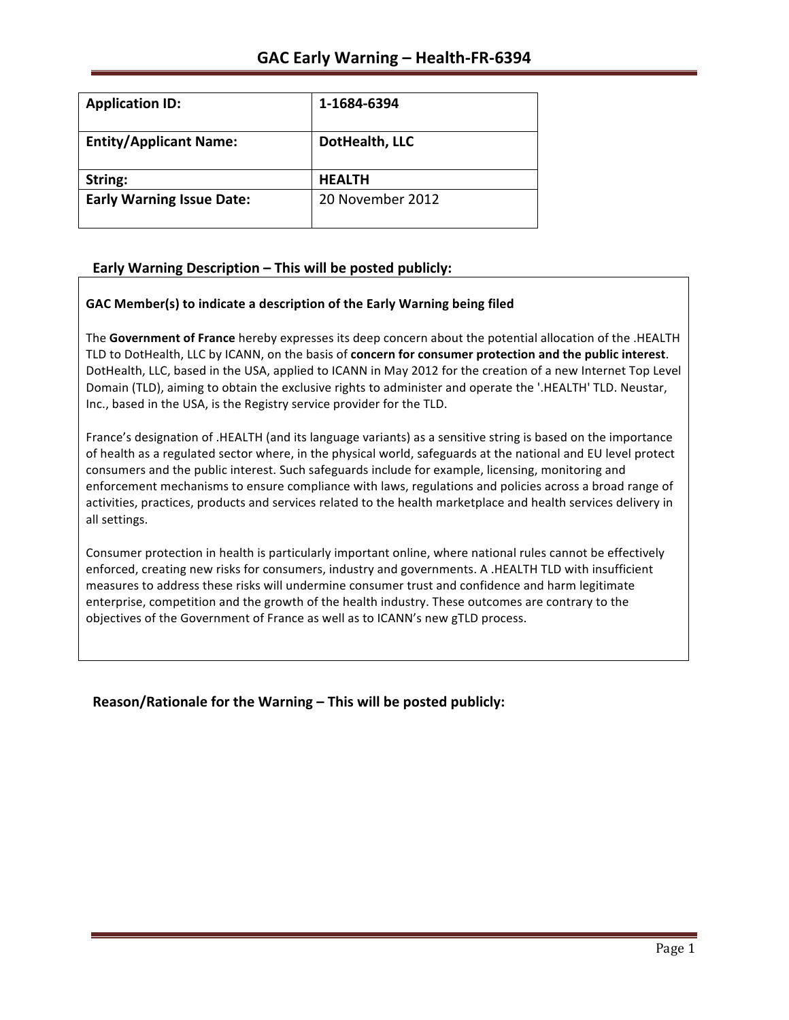| <b>Application ID:</b>           | 1-1684-6394      |
|----------------------------------|------------------|
| <b>Entity/Applicant Name:</b>    | DotHealth, LLC   |
| String:                          | <b>HEALTH</b>    |
| <b>Early Warning Issue Date:</b> | 20 November 2012 |

# Early Warning Description - This will be posted publicly:

## GAC Member(s) to indicate a description of the Early Warning being filed

The Government of France hereby expresses its deep concern about the potential allocation of the .HEALTH TLD to DotHealth, LLC by ICANN, on the basis of **concern for consumer protection and the public interest**. DotHealth, LLC, based in the USA, applied to ICANN in May 2012 for the creation of a new Internet Top Level Domain (TLD), aiming to obtain the exclusive rights to administer and operate the '.HEALTH' TLD. Neustar, Inc., based in the USA, is the Registry service provider for the TLD.

France's designation of .HEALTH (and its language variants) as a sensitive string is based on the importance of health as a regulated sector where, in the physical world, safeguards at the national and EU level protect consumers and the public interest. Such safeguards include for example, licensing, monitoring and enforcement mechanisms to ensure compliance with laws, regulations and policies across a broad range of activities, practices, products and services related to the health marketplace and health services delivery in all settings.

Consumer protection in health is particularly important online, where national rules cannot be effectively enforced, creating new risks for consumers, industry and governments. A .HEALTH TLD with insufficient measures to address these risks will undermine consumer trust and confidence and harm legitimate enterprise, competition and the growth of the health industry. These outcomes are contrary to the objectives of the Government of France as well as to ICANN's new gTLD process.

**Reason/Rationale for the Warning – This will be posted publicly:**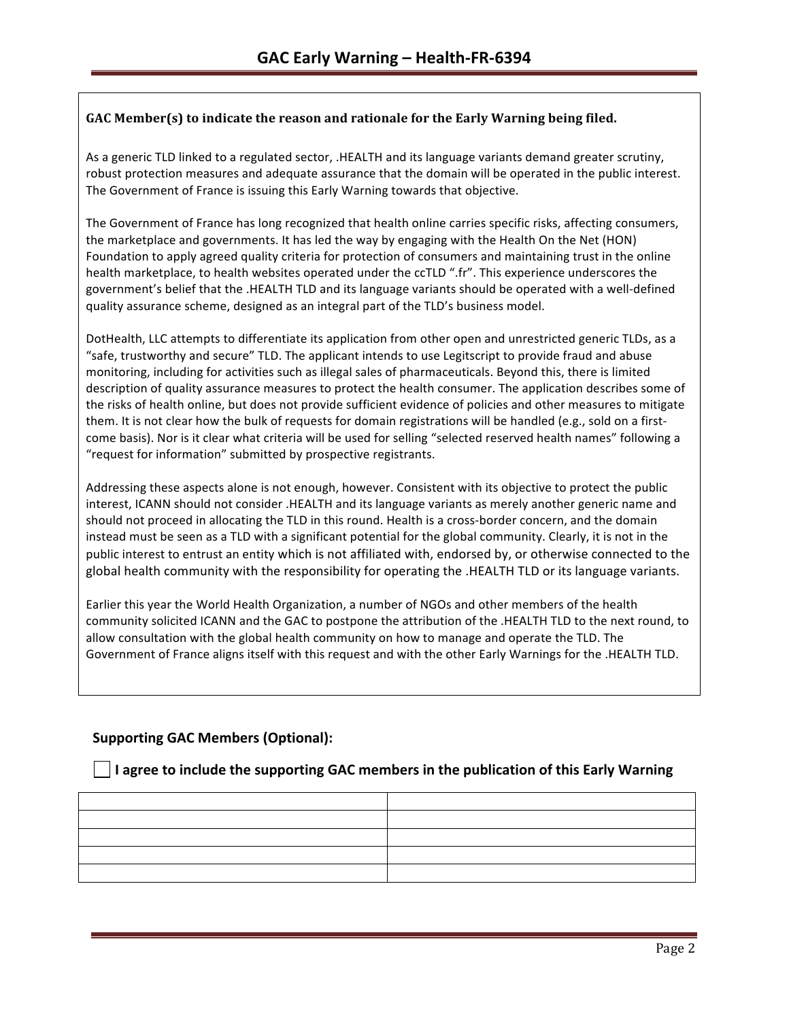## **GAC Member(s)** to indicate the reason and rationale for the Early Warning being filed.

As a generic TLD linked to a regulated sector, .HEALTH and its language variants demand greater scrutiny, robust protection measures and adequate assurance that the domain will be operated in the public interest. The Government of France is issuing this Early Warning towards that objective.

The Government of France has long recognized that health online carries specific risks, affecting consumers, the marketplace and governments. It has led the way by engaging with the Health On the Net (HON) Foundation to apply agreed quality criteria for protection of consumers and maintaining trust in the online health marketplace, to health websites operated under the ccTLD ".fr". This experience underscores the government's belief that the .HEALTH TLD and its language variants should be operated with a well-defined quality assurance scheme, designed as an integral part of the TLD's business model.

DotHealth, LLC attempts to differentiate its application from other open and unrestricted generic TLDs, as a "safe, trustworthy and secure" TLD. The applicant intends to use Legitscript to provide fraud and abuse monitoring, including for activities such as illegal sales of pharmaceuticals. Beyond this, there is limited description of quality assurance measures to protect the health consumer. The application describes some of the risks of health online, but does not provide sufficient evidence of policies and other measures to mitigate them. It is not clear how the bulk of requests for domain registrations will be handled (e.g., sold on a firstcome basis). Nor is it clear what criteria will be used for selling "selected reserved health names" following a "request for information" submitted by prospective registrants.

Addressing these aspects alone is not enough, however. Consistent with its objective to protect the public interest, ICANN should not consider .HEALTH and its language variants as merely another generic name and should not proceed in allocating the TLD in this round. Health is a cross-border concern, and the domain instead must be seen as a TLD with a significant potential for the global community. Clearly, it is not in the public interest to entrust an entity which is not affiliated with, endorsed by, or otherwise connected to the global health community with the responsibility for operating the .HEALTH TLD or its language variants.

Earlier this year the World Health Organization, a number of NGOs and other members of the health community solicited ICANN and the GAC to postpone the attribution of the .HEALTH TLD to the next round, to allow consultation with the global health community on how to manage and operate the TLD. The Government of France aligns itself with this request and with the other Early Warnings for the .HEALTH TLD.

# **Supporting GAC Members (Optional):**

## **I** I agree to include the supporting GAC members in the publication of this Early Warning

| the control of the control of the control of the control of the control of the control of |  |
|-------------------------------------------------------------------------------------------|--|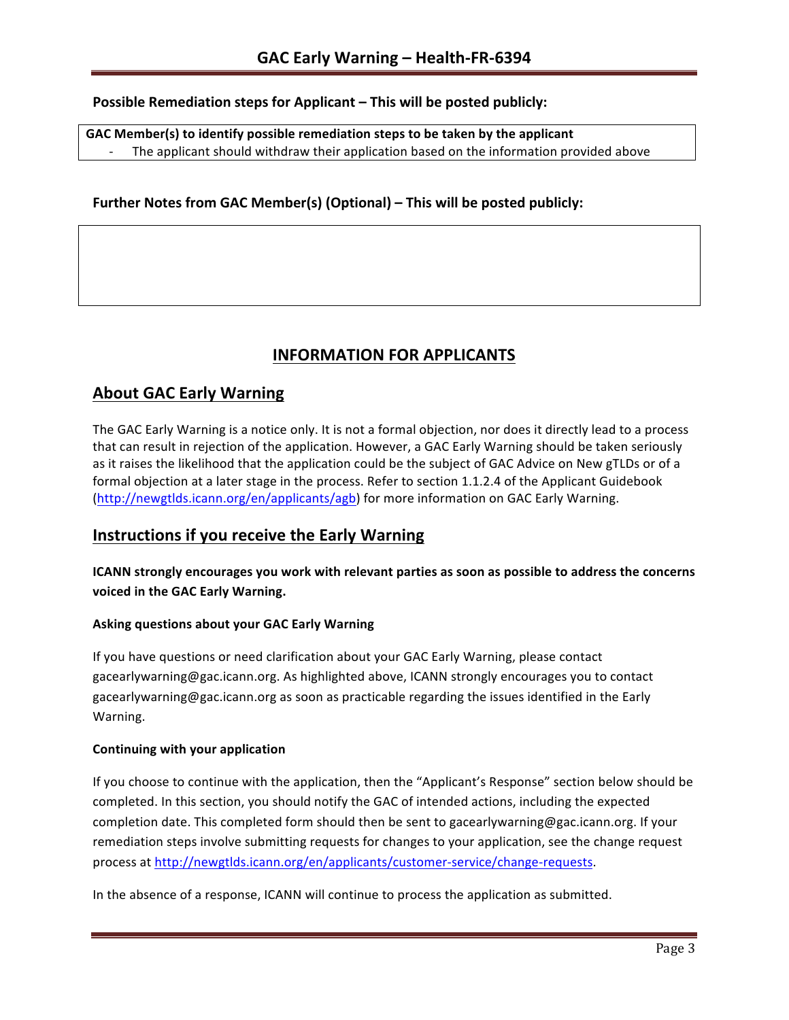## **Possible Remediation steps for Applicant – This will be posted publicly:**

GAC Member(s) to identify possible remediation steps to be taken by the applicant The applicant should withdraw their application based on the information provided above

## **Further Notes from GAC Member(s) (Optional) – This will be posted publicly:**

# **INFORMATION FOR APPLICANTS**

# **About GAC Early Warning**

The GAC Early Warning is a notice only. It is not a formal objection, nor does it directly lead to a process that can result in rejection of the application. However, a GAC Early Warning should be taken seriously as it raises the likelihood that the application could be the subject of GAC Advice on New gTLDs or of a formal objection at a later stage in the process. Refer to section 1.1.2.4 of the Applicant Guidebook (http://newgtlds.icann.org/en/applicants/agb) for more information on GAC Early Warning.

# **Instructions if you receive the Early Warning**

**ICANN** strongly encourages you work with relevant parties as soon as possible to address the concerns **voiced in the GAC Early Warning.** 

#### **Asking questions about your GAC Early Warning**

If you have questions or need clarification about your GAC Early Warning, please contact gacearlywarning@gac.icann.org. As highlighted above, ICANN strongly encourages you to contact gacearlywarning@gac.icann.org as soon as practicable regarding the issues identified in the Early Warning. 

#### **Continuing with your application**

If you choose to continue with the application, then the "Applicant's Response" section below should be completed. In this section, you should notify the GAC of intended actions, including the expected completion date. This completed form should then be sent to gacearlywarning@gac.icann.org. If your remediation steps involve submitting requests for changes to your application, see the change request process at http://newgtlds.icann.org/en/applicants/customer-service/change-requests.

In the absence of a response, ICANN will continue to process the application as submitted.